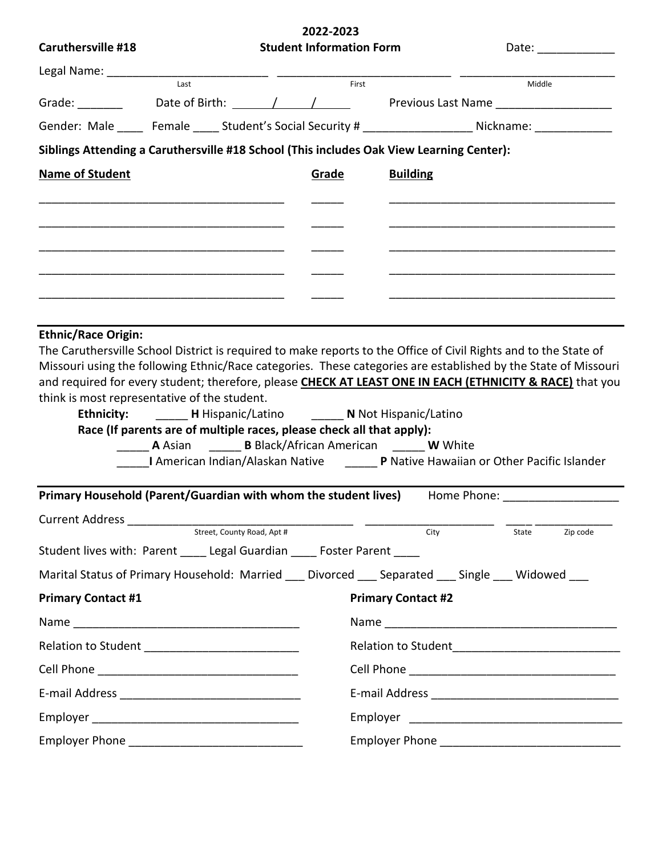|                                                                                                           |                                                                                                                                                                                                                                                                                             |                            | 2022-2023                       |                           |        |                   |
|-----------------------------------------------------------------------------------------------------------|---------------------------------------------------------------------------------------------------------------------------------------------------------------------------------------------------------------------------------------------------------------------------------------------|----------------------------|---------------------------------|---------------------------|--------|-------------------|
| <b>Caruthersville #18</b>                                                                                 |                                                                                                                                                                                                                                                                                             |                            | <b>Student Information Form</b> |                           |        | Date: ___________ |
|                                                                                                           | $\overline{Last}$                                                                                                                                                                                                                                                                           |                            | First                           |                           | Middle |                   |
|                                                                                                           |                                                                                                                                                                                                                                                                                             |                            |                                 |                           |        |                   |
| Gender: Male ______ Female _____ Student's Social Security # ___________________ Nickname: ______________ |                                                                                                                                                                                                                                                                                             |                            |                                 |                           |        |                   |
| Siblings Attending a Caruthersville #18 School (This includes Oak View Learning Center):                  |                                                                                                                                                                                                                                                                                             |                            |                                 |                           |        |                   |
| <b>Name of Student</b>                                                                                    |                                                                                                                                                                                                                                                                                             |                            | Grade                           | <b>Building</b>           |        |                   |
|                                                                                                           |                                                                                                                                                                                                                                                                                             |                            |                                 |                           |        |                   |
|                                                                                                           |                                                                                                                                                                                                                                                                                             |                            |                                 |                           |        |                   |
|                                                                                                           |                                                                                                                                                                                                                                                                                             |                            |                                 |                           |        |                   |
|                                                                                                           |                                                                                                                                                                                                                                                                                             |                            |                                 |                           |        |                   |
|                                                                                                           |                                                                                                                                                                                                                                                                                             |                            |                                 |                           |        |                   |
|                                                                                                           |                                                                                                                                                                                                                                                                                             |                            |                                 |                           |        |                   |
| think is most representative of the student.                                                              | <b>Ethnicity:</b> H Hispanic/Latino N Not Hispanic/Latino<br>Race (If parents are of multiple races, please check all that apply):<br><b>A</b> Asian <b>B</b> Black/African American <b>W</b> White<br>I American Indian/Alaskan Native _______ P Native Hawaiian or Other Pacific Islander |                            |                                 |                           |        |                   |
| Primary Household (Parent/Guardian with whom the student lives) Home Phone: _______________________       |                                                                                                                                                                                                                                                                                             |                            |                                 |                           |        |                   |
| Current Address ___________                                                                               |                                                                                                                                                                                                                                                                                             |                            |                                 |                           |        |                   |
| Student lives with: Parent ______ Legal Guardian _____ Foster Parent _____                                |                                                                                                                                                                                                                                                                                             | Street, County Road, Apt # |                                 | City                      | State  | Zip code          |
|                                                                                                           |                                                                                                                                                                                                                                                                                             |                            |                                 |                           |        |                   |
| Marital Status of Primary Household: Married ___ Divorced ___ Separated ___ Single ___ Widowed ___        |                                                                                                                                                                                                                                                                                             |                            |                                 |                           |        |                   |
| <b>Primary Contact #1</b>                                                                                 |                                                                                                                                                                                                                                                                                             |                            |                                 | <b>Primary Contact #2</b> |        |                   |
|                                                                                                           |                                                                                                                                                                                                                                                                                             |                            |                                 |                           |        |                   |
|                                                                                                           |                                                                                                                                                                                                                                                                                             |                            |                                 |                           |        |                   |
|                                                                                                           |                                                                                                                                                                                                                                                                                             |                            |                                 |                           |        |                   |
|                                                                                                           |                                                                                                                                                                                                                                                                                             |                            |                                 |                           |        |                   |
|                                                                                                           |                                                                                                                                                                                                                                                                                             |                            |                                 |                           |        |                   |
|                                                                                                           |                                                                                                                                                                                                                                                                                             |                            |                                 |                           |        |                   |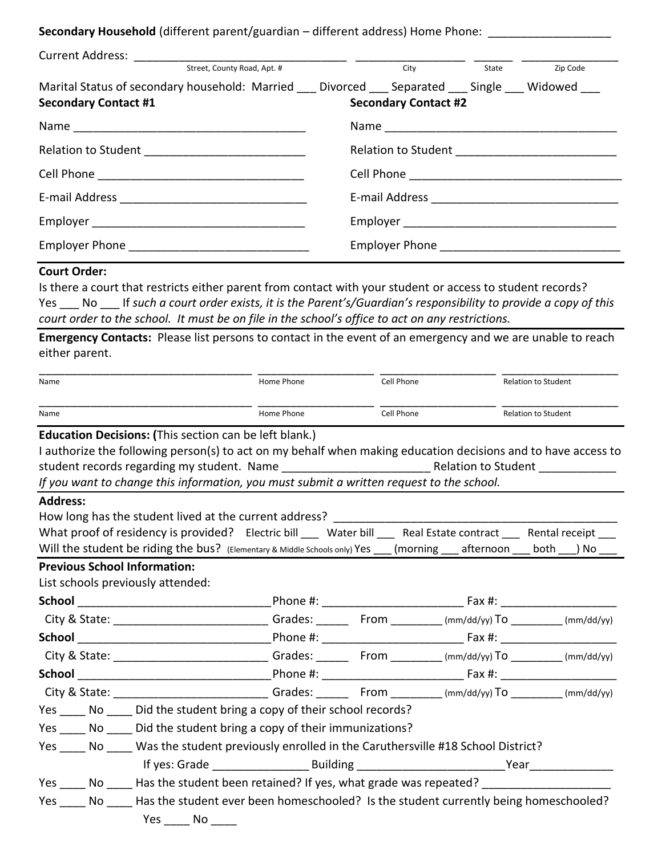Secondary Household (different parent/guardian – different address) Home Phone: \_\_\_\_\_\_\_\_\_\_\_\_\_\_\_\_\_\_\_

| Street, County Road, Apt. #                                                                                                         |  | City                        |  | Zip Code<br>State |  |
|-------------------------------------------------------------------------------------------------------------------------------------|--|-----------------------------|--|-------------------|--|
| Marital Status of secondary household: Married ___ Divorced ___ Separated ___ Single ___ Widowed ___<br><b>Secondary Contact #1</b> |  | <b>Secondary Contact #2</b> |  |                   |  |
|                                                                                                                                     |  |                             |  |                   |  |
|                                                                                                                                     |  |                             |  |                   |  |
|                                                                                                                                     |  |                             |  |                   |  |
|                                                                                                                                     |  |                             |  |                   |  |
|                                                                                                                                     |  |                             |  |                   |  |
|                                                                                                                                     |  |                             |  |                   |  |

#### **Court Order:**

Is there a court that restricts either parent from contact with your student or access to student records? Yes \_\_\_ No \_\_\_ If *such a court order exists, it is the Parent's/Guardian's responsibility to provide a copy of this court order to the school. It must be on file in the school's office to act on any restrictions.*

**Emergency Contacts:** Please list persons to contact in the event of an emergency and we are unable to reach either parent.

| Name            |  |                                                                                                                            | Home Phone | Cell Phone          | <b>Relation to Student</b> |
|-----------------|--|----------------------------------------------------------------------------------------------------------------------------|------------|---------------------|----------------------------|
| Name            |  | Home Phone                                                                                                                 | Cell Phone | Relation to Student |                            |
|                 |  | <b>Education Decisions: (This section can be left blank.)</b>                                                              |            |                     |                            |
|                 |  | I authorize the following person(s) to act on my behalf when making education decisions and to have access to              |            |                     |                            |
|                 |  |                                                                                                                            |            |                     |                            |
|                 |  | If you want to change this information, you must submit a written request to the school.                                   |            |                     |                            |
| <b>Address:</b> |  |                                                                                                                            |            |                     |                            |
|                 |  | How long has the student lived at the current address?                                                                     |            |                     |                            |
|                 |  | What proof of residency is provided? Electric bill ___ Water bill ___ Real Estate contract ___ Rental receipt ___          |            |                     |                            |
|                 |  | Will the student be riding the bus? (Elementary & Middle Schools only) Yes ___ (morning ___ afternoon ___ both ___) No ___ |            |                     |                            |
|                 |  | <b>Previous School Information:</b>                                                                                        |            |                     |                            |
|                 |  | List schools previously attended:                                                                                          |            |                     |                            |
|                 |  |                                                                                                                            |            |                     |                            |
|                 |  | City & State: _____________________________Grades: _______ From ________(mm/dd/yy) To ________(mm/dd/yy)                   |            |                     |                            |
|                 |  |                                                                                                                            |            |                     |                            |
|                 |  | City & State: ________________________________Grades: _________From _________ (mm/dd/yy) To _________ (mm/dd/yy)           |            |                     |                            |
|                 |  |                                                                                                                            |            |                     |                            |
|                 |  | City & State: Trom (mm/dd/yy) To (mm/dd/yy) To (mm/dd/yy) To (mm/dd/yy) To (mm/dd/yy)                                      |            |                     |                            |
|                 |  | Yes No Did the student bring a copy of their school records?                                                               |            |                     |                            |
|                 |  | Yes ______ No ______ Did the student bring a copy of their immunizations?                                                  |            |                     |                            |
|                 |  | Yes _____ No ____ Was the student previously enrolled in the Caruthersville #18 School District?                           |            |                     |                            |
|                 |  |                                                                                                                            |            |                     |                            |
|                 |  | Yes No Has the student been retained? If yes, what grade was repeated? ________________                                    |            |                     |                            |
|                 |  | Yes No Has the student ever been homeschooled? Is the student currently being homeschooled?<br>$Yes \_\_ No \_\_$          |            |                     |                            |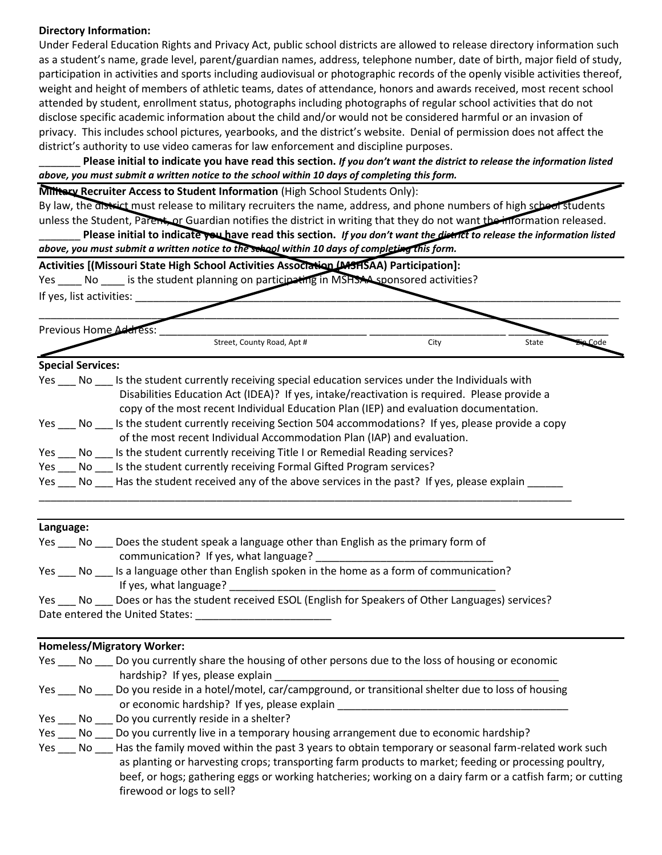## **Directory Information:**

Under Federal Education Rights and Privacy Act, public school districts are allowed to release directory information such as a student's name, grade level, parent/guardian names, address, telephone number, date of birth, major field of study, participation in activities and sports including audiovisual or photographic records of the openly visible activities thereof, weight and height of members of athletic teams, dates of attendance, honors and awards received, most recent school attended by student, enrollment status, photographs including photographs of regular school activities that do not disclose specific academic information about the child and/or would not be considered harmful or an invasion of privacy. This includes school pictures, yearbooks, and the district's website. Denial of permission does not affect the district's authority to use video cameras for law enforcement and discipline purposes.

\_\_\_\_\_\_\_ **Please initial to indicate you have read this section.** *If you don't want the district to release the information listed above, you must submit a written notice to the school within 10 days of completing this form.*

**Military Recruiter Access to Student Information** (High School Students Only):

By law, the district must release to military recruiters the name, address, and phone numbers of high school students unless the Student, Parent, or Guardian notifies the district in writing that they do not want the information released.

Please initial to indicate you have read this section. *If you don't want the district to release the information listed above, you must submit a written notice to the school within 10 days of completing this form.*

**Activities [(Missouri State High School Activities Association (MSHSAA) Participation]:**

Yes No is the student planning on participating in MSHSAA sponsored activities?

If yes, list activities: **we are all that** 

| Previous Home Address: |                            |      |       |  |
|------------------------|----------------------------|------|-------|--|
|                        | Street, County Road, Apt # | City | State |  |

# **Special Services:**

| No.             | Is the student currently receiving special education services under the Individuals with      |
|-----------------|-----------------------------------------------------------------------------------------------|
|                 | Disabilities Education Act (IDEA)? If yes, intake/reactivation is required. Please provide a  |
|                 | copy of the most recent Individual Education Plan (IEP) and evaluation documentation.         |
| No l            | Is the student currently receiving Section 504 accommodations? If yes, please provide a copy  |
|                 | of the most recent Individual Accommodation Plan (IAP) and evaluation.                        |
| $Yes$ No $\_\_$ | Is the student currently receiving Title I or Remedial Reading services?                      |
|                 | Yes No Is the student currently receiving Formal Gifted Program services?                     |
|                 | Yes No Has the student received any of the above services in the past? If yes, please explain |
|                 |                                                                                               |

## **Language:**

| Yes | No. | Does the student speak a language other than English as the primary form of               |
|-----|-----|-------------------------------------------------------------------------------------------|
|     |     | communication? If yes, what language?                                                     |
| Yes | No. | Is a language other than English spoken in the home as a form of communication?           |
|     |     | If yes, what language?                                                                    |
| Yes | No. | Does or has the student received ESOL (English for Speakers of Other Languages) services? |

Date entered the United States: \_\_\_\_\_\_\_\_\_\_\_\_\_\_\_\_\_\_\_\_\_\_\_

## **Homeless/Migratory Worker:**

|     | Yes No Do you currently share the housing of other persons due to the loss of housing or economic                     |
|-----|-----------------------------------------------------------------------------------------------------------------------|
|     | hardship? If yes, please explain                                                                                      |
|     | Yes No Do you reside in a hotel/motel, car/campground, or transitional shelter due to loss of housing                 |
|     | or economic hardship? If yes, please explain                                                                          |
|     | Yes No Do you currently reside in a shelter?                                                                          |
| Yes | No Do you currently live in a temporary housing arrangement due to economic hardship?                                 |
|     | Yes ____ No _____ Has the family moved within the past 3 years to obtain temporary or seasonal farm-related work such |
|     | as planting or harvesting crops; transporting farm products to market; feeding or processing poultry,                 |
|     | beef, or hogs; gathering eggs or working hatcheries; working on a dairy farm or a catfish farm; or cutting            |
|     | firewood or logs to sell?                                                                                             |
|     |                                                                                                                       |